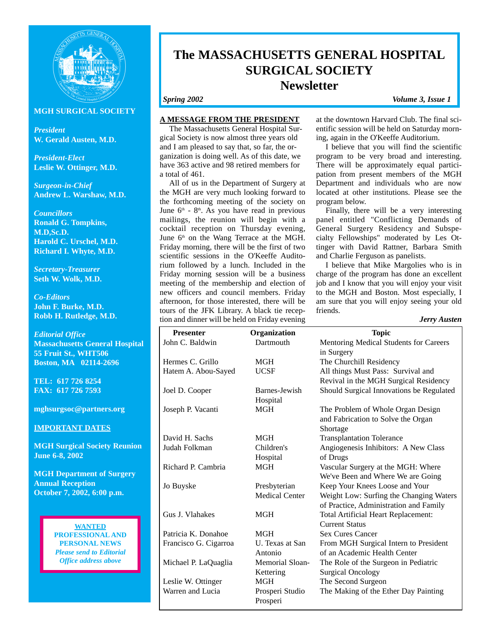

# **MGH SURGICAL SOCIETY**

*President* **W. Gerald Austen, M.D.**

*President-Elect* **Leslie W. Ottinger, M.D.**

*Surgeon-in-Chief* **Andrew L. Warshaw, M.D.**

*Councillors* **Ronald G. Tompkins, M.D,Sc.D. Harold C. Urschel, M.D. Richard I. Whyte, M.D.**

*Secretary-Treasurer* **Seth W. Wolk, M.D.**

*Co-Editors* **John F. Burke, M.D. Robb H. Rutledge, M.D.**

*Editorial Office* **Massachusetts General Hospital 55 Fruit St., WHT506 Boston, MA 02114-2696**

**TEL: 617 726 8254 FAX: 617 726 7593**

**mghsurgsoc@partners.org**

**IMPORTANT DATES**

**MGH Surgical Society Reunion June 6-8, 2002**

**MGH Department of Surgery Annual Reception October 7, 2002, 6:00 p.m.**

> **WANTED PROFESSIONAL AND PERSONAL NEWS** *Please send to Editorial Office address above*

# **The MASSACHUSETTS GENERAL HOSPITAL SURGICAL SOCIETY Newsletter**

*Spring 2002 Volume 3, Issue 1*

# **A MESSAGE FROM THE PRESIDENT**

The Massachusetts General Hospital Surgical Society is now almost three years old and I am pleased to say that, so far, the organization is doing well. As of this date, we have 363 active and 98 retired members for a total of 461.

All of us in the Department of Surgery at the MGH are very much looking forward to the forthcoming meeting of the society on June  $6<sup>th</sup>$  -  $8<sup>th</sup>$ . As you have read in previous mailings, the reunion will begin with a cocktail reception on Thursday evening, June  $6<sup>th</sup>$  on the Wang Terrace at the MGH. Friday morning, there will be the first of two scientific sessions in the O'Keeffe Auditorium followed by a lunch. Included in the Friday morning session will be a business meeting of the membership and election of new officers and council members. Friday afternoon, for those interested, there will be tours of the JFK Library. A black tie reception and dinner will be held on Friday evening at the downtown Harvard Club. The final scientific session will be held on Saturday morning, again in the O'Keeffe Auditorium.

I believe that you will find the scientific program to be very broad and interesting. There will be approximately equal participation from present members of the MGH Department and individuals who are now located at other institutions. Please see the program below.

Finally, there will be a very interesting panel entitled "Conflicting Demands of General Surgery Residency and Subspecialty Fellowships" moderated by Les Ottinger with David Rattner, Barbara Smith and Charlie Ferguson as panelists.

I believe that Mike Margolies who is in charge of the program has done an excellent job and I know that you will enjoy your visit to the MGH and Boston. Most especially, I am sure that you will enjoy seeing your old friends.

*Jerry Austen*

| <b>Presenter</b>      | Organization          | <b>Topic</b>                               |
|-----------------------|-----------------------|--------------------------------------------|
| John C. Baldwin       | Dartmouth             | Mentoring Medical Students for Careers     |
|                       |                       | in Surgery                                 |
| Hermes C. Grillo      | <b>MGH</b>            | The Churchill Residency                    |
| Hatem A. Abou-Sayed   | <b>UCSF</b>           | All things Must Pass: Survival and         |
|                       |                       | Revival in the MGH Surgical Residency      |
| Joel D. Cooper        | Barnes-Jewish         | Should Surgical Innovations be Regulated   |
|                       | Hospital              |                                            |
| Joseph P. Vacanti     | <b>MGH</b>            | The Problem of Whole Organ Design          |
|                       |                       | and Fabrication to Solve the Organ         |
|                       |                       | Shortage                                   |
| David H. Sachs        | <b>MGH</b>            | <b>Transplantation Tolerance</b>           |
| Judah Folkman         | Children's            | Angiogenesis Inhibitors: A New Class       |
|                       | Hospital              | of Drugs                                   |
| Richard P. Cambria    | <b>MGH</b>            | Vascular Surgery at the MGH: Where         |
|                       |                       | We've Been and Where We are Going          |
| Jo Buyske             | Presbyterian          | Keep Your Knees Loose and Your             |
|                       | <b>Medical Center</b> | Weight Low: Surfing the Changing Waters    |
|                       |                       | of Practice, Administration and Family     |
| Gus J. Vlahakes       | <b>MGH</b>            | <b>Total Artificial Heart Replacement:</b> |
|                       |                       | <b>Current Status</b>                      |
| Patricia K. Donahoe   | <b>MGH</b>            | <b>Sex Cures Cancer</b>                    |
| Francisco G. Cigarroa | U. Texas at San       | From MGH Surgical Intern to President      |
|                       | Antonio               | of an Academic Health Center               |
| Michael P. LaQuaglia  | Memorial Sloan-       | The Role of the Surgeon in Pediatric       |
|                       | Kettering             | <b>Surgical Oncology</b>                   |
| Leslie W. Ottinger    | <b>MGH</b>            | The Second Surgeon                         |
| Warren and Lucia      | Prosperi Studio       | The Making of the Ether Day Painting       |
|                       | Prosperi              |                                            |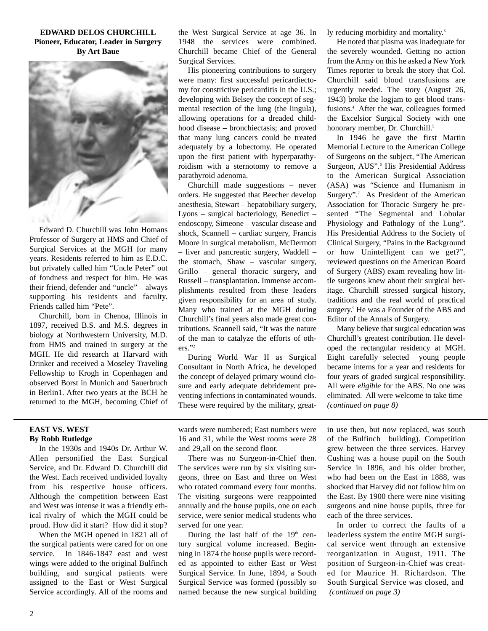**EDWARD DELOS CHURCHILL Pioneer, Educator, Leader in Surgery By Art Baue**



Edward D. Churchill was John Homans Professor of Surgery at HMS and Chief of Surgical Services at the MGH for many years. Residents referred to him as E.D.C. but privately called him "Uncle Peter" out of fondness and respect for him. He was their friend, defender and "uncle" – always supporting his residents and faculty. Friends called him "Pete".

Churchill, born in Chenoa, Illinois in 1897, received B.S. and M.S. degrees in biology at Northwestern University, M.D. from HMS and trained in surgery at the MGH. He did research at Harvard with Drinker and received a Moseley Traveling Fellowship to Krogh in Copenhagen and observed Borst in Munich and Sauerbruch in Berlin1. After two years at the BCH he returned to the MGH, becoming Chief of

### **EAST VS. WEST By Robb Rutledge**

In the 1930s and 1940s Dr. Arthur W. Allen personified the East Surgical Service, and Dr. Edward D. Churchill did the West. Each received undivided loyalty from his respective house officers. Although the competition between East and West was intense it was a friendly ethical rivalry of which the MGH could be proud. How did it start? How did it stop?

When the MGH opened in 1821 all of the surgical patients were cared for on one service. In 1846-1847 east and west wings were added to the original Bulfinch building, and surgical patients were assigned to the East or West Surgical Service accordingly. All of the rooms and

the West Surgical Service at age 36. In 1948 the services were combined. Churchill became Chief of the General Surgical Services.

His pioneering contributions to surgery were many: first successful pericardiectomy for constrictive pericarditis in the U.S.; developing with Belsey the concept of segmental resection of the lung (the lingula), allowing operations for a dreaded childhood disease – bronchiectasis; and proved that many lung cancers could be treated adequately by a lobectomy. He operated upon the first patient with hyperparathyroidism with a sternotomy to remove a parathyroid adenoma.

Churchill made suggestions – never orders. He suggested that Beecher develop anesthesia, Stewart – hepatobiliary surgery, Lyons – surgical bacteriology, Benedict – endoscopy, Simeone – vascular disease and shock, Scannell – cardiac surgery, Francis Moore in surgical metabolism, McDermott – liver and pancreatic surgery, Waddell – the stomach, Shaw – vascular surgery, Grillo – general thoracic surgery, and Russell – transplantation. Immense accomplishments resulted from these leaders given responsibility for an area of study. Many who trained at the MGH during Churchill's final years also made great contributions. Scannell said, "It was the nature of the man to catalyze the efforts of others."2

During World War II as Surgical Consultant in North Africa, he developed the concept of delayed primary wound closure and early adequate debridement preventing infections in contaminated wounds. These were required by the military, greatly reducing morbidity and mortality.3

He noted that plasma was inadequate for the severely wounded. Getting no action from the Army on this he asked a New York Times reporter to break the story that Col. Churchill said blood transfusions are urgently needed. The story (August 26, 1943) broke the logjam to get blood transfusions.4 After the war, colleagues formed the Excelsior Surgical Society with one honorary member, Dr. Churchill.<sup>5</sup>

In 1946 he gave the first Martin Memorial Lecture to the American College of Surgeons on the subject, "The American Surgeon, AUS".<sup>6</sup> His Presidential Address to the American Surgical Association (ASA) was "Science and Humanism in Surgery".<sup>7</sup> As President of the American Association for Thoracic Surgery he presented "The Segmental and Lobular Physiology and Pathology of the Lung". His Presidential Address to the Society of Clinical Surgery, "Pains in the Background or how Unintelligent can we get?", reviewed questions on the American Board of Surgery (ABS) exam revealing how little surgeons knew about their surgical heritage. Churchill stressed surgical history, traditions and the real world of practical surgery.<sup>9</sup> He was a Founder of the ABS and Editor of the Annals of Surgery.

Many believe that surgical education was Churchill's greatest contribution. He developed the rectangular residency at MGH. Eight carefully selected young people became interns for a year and residents for four years of graded surgical responsibility. All were *eligible* for the ABS. No one was eliminated. All were welcome to take time *(continued on page 8)*

wards were numbered; East numbers were 16 and 31, while the West rooms were 28 and 29,all on the second floor.

There was no Surgeon-in-Chief then. The services were run by six visiting surgeons, three on East and three on West who rotated command every four months. The visiting surgeons were reappointed annually and the house pupils, one on each service, were senior medical students who served for one year.

During the last half of the 19<sup>th</sup> century surgical volume increased. Beginning in 1874 the house pupils were recorded as appointed to either East or West Surgical Service. In June, 1894, a South Surgical Service was formed (possibly so named because the new surgical building

in use then, but now replaced, was south of the Bulfinch building). Competition grew between the three services. Harvey Cushing was a house pupil on the South Service in 1896, and his older brother, who had been on the East in 1888, was shocked that Harvey did not follow him on the East. By 1900 there were nine visiting surgeons and nine house pupils, three for each of the three services.

In order to correct the faults of a leaderless system the entire MGH surgical service went through an extensive reorganization in August, 1911. The position of Surgeon-in-Chief was created for Maurice H. Richardson. The South Surgical Service was closed, and *(continued on page 3)*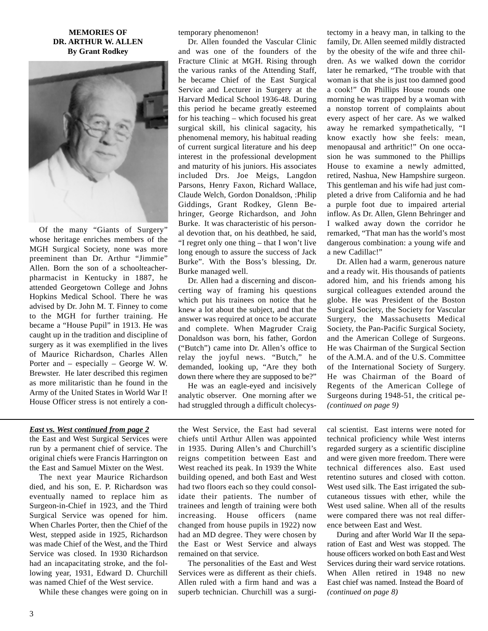## **MEMORIES OF DR. ARTHUR W. ALLEN By Grant Rodkey**



Of the many "Giants of Surgery" whose heritage enriches members of the MGH Surgical Society, none was more preeminent than Dr. Arthur "Jimmie" Allen. Born the son of a schoolteacherpharmacist in Kentucky in 1887, he attended Georgetown College and Johns Hopkins Medical School. There he was advised by Dr. John M. T. Finney to come to the MGH for further training. He became a "House Pupil" in 1913. He was caught up in the tradition and discipline of surgery as it was exemplified in the lives of Maurice Richardson, Charles Allen Porter and – especially – George W. W. Brewster. He later described this regimen as more militaristic than he found in the Army of the United States in World War I! House Officer stress is not entirely a con-

# *East vs. West continued from page 2*

the East and West Surgical Services were run by a permanent chief of service. The original chiefs were Francis Harrington on the East and Samuel Mixter on the West.

The next year Maurice Richardson died, and his son, E. P. Richardson was eventually named to replace him as Surgeon-in-Chief in 1923, and the Third Surgical Service was opened for him. When Charles Porter, then the Chief of the West, stepped aside in 1925, Richardson was made Chief of the West, and the Third Service was closed. In 1930 Richardson had an incapacitating stroke, and the following year, 1931, Edward D. Churchill was named Chief of the West service.

While these changes were going on in

temporary phenomenon!

Dr. Allen founded the Vascular Clinic and was one of the founders of the Fracture Clinic at MGH. Rising through the various ranks of the Attending Staff, he became Chief of the East Surgical Service and Lecturer in Surgery at the Harvard Medical School 1936-48. During this period he became greatly esteemed for his teaching – which focused his great surgical skill, his clinical sagacity, his phenomenal memory, his habitual reading of current surgical literature and his deep interest in the professional development and maturity of his juniors. His associates included Drs. Joe Meigs, Langdon Parsons, Henry Faxon, Richard Wallace, Claude Welch, Gordon Donaldson, :Philip Giddings, Grant Rodkey, Glenn Behringer, George Richardson, and John Burke. It was characteristic of his personal devotion that, on his deathbed, he said, "I regret only one thing – that I won't live long enough to assure the success of Jack Burke". With the Boss's blessing, Dr. Burke managed well.

Dr. Allen had a discerning and disconcerting way of framing his questions which put his trainees on notice that he knew a lot about the subject, and that the answer was required at once to be accurate and complete. When Magruder Craig Donaldson was born, his father, Gordon ("Butch") came into Dr. Allen's office to relay the joyful news. "Butch," he demanded, looking up, "Are they both down there where they are supposed to be?"

He was an eagle-eyed and incisively analytic observer. One morning after we had struggled through a difficult cholecystectomy in a heavy man, in talking to the family, Dr. Allen seemed mildly distracted by the obesity of the wife and three children. As we walked down the corridor later he remarked, "The trouble with that woman is that she is just too damned good a cook!" On Phillips House rounds one morning he was trapped by a woman with a nonstop torrent of complaints about every aspect of her care. As we walked away he remarked sympathetically, "I know exactly how she feels: mean, menopausal and arthritic!" On one occasion he was summoned to the Phillips House to examine a newly admitted, retired, Nashua, New Hampshire surgeon. This gentleman and his wife had just completed a drive from California and he had a purple foot due to impaired arterial inflow. As Dr. Allen, Glenn Behringer and I walked away down the corridor he remarked, "That man has the world's most dangerous combination: a young wife and a new Cadillac!"

Dr. Allen had a warm, generous nature and a ready wit. His thousands of patients adored him, and his friends among his surgical colleagues extended around the globe. He was President of the Boston Surgical Society, the Society for Vascular Surgery, the Massachusetts Medical Society, the Pan-Pacific Surgical Society, and the American College of Surgeons. He was Chairman of the Surgical Section of the A.M.A. and of the U.S. Committee of the International Society of Surgery. He was Chairman of the Board of Regents of the American College of Surgeons during 1948-51, the critical pe- *(continued on page 9)*

the West Service, the East had several chiefs until Arthur Allen was appointed in 1935. During Allen's and Churchill's reigns competition between East and West reached its peak. In 1939 the White building opened, and both East and West had two floors each so they could consolidate their patients. The number of trainees and length of training were both increasing. House officers (name changed from house pupils in 1922) now had an MD degree. They were chosen by the East or West Service and always remained on that service.

The personalities of the East and West Services were as different as their chiefs. Allen ruled with a firm hand and was a superb technician. Churchill was a surgical scientist. East interns were noted for technical proficiency while West interns regarded surgery as a scientific discipline and were given more freedom. There were technical differences also. East used retentino sutures and closed with cotton. West used silk. The East irrigated the subcutaneous tissues with ether, while the West used saline. When all of the results were compared there was not real difference between East and West.

During and after World War II the separation of East and West was stopped. The house officers worked on both East and West Services during their ward service rotations. When Allen retired in 1948 no new East chief was named. Instead the Board of *(continued on page 8)*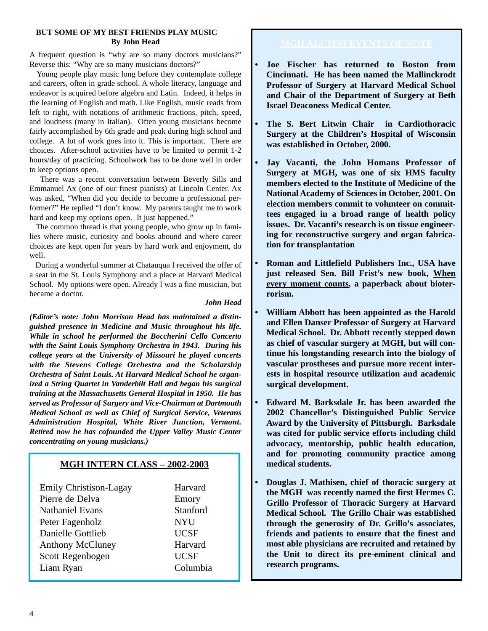# **BUT SOME OF MY BEST FRIENDS PLAY MUSIC By John Head**

A frequent question is "why are so many doctors musicians?" Reverse this: "Why are so many musicians doctors?"

Young people play music long before they contemplate college and careers, often in grade school. A whole literacy, language and endeavor is acquired before algebra and Latin. Indeed, it helps in the learning of English and math. Like English, music reads from left to right, with notations of arithmetic fractions, pitch, speed, and loudness (many in Italian). Often young musicians become fairly accomplished by 6th grade and peak during high school and college. A lot of work goes into it. This is important. There are choices. After-school activities have to be limited to permit 1-2 hours/day of practicing. Schoolwork has to be done well in order to keep options open.

There was a recent conversation between Beverly Sills and Emmanuel Ax (one of our finest pianists) at Lincoln Center. Ax was asked, "When did you decide to become a professional performer?" He replied "I don't know. My parents taught me to work hard and keep my options open. It just happened."

The common thread is that young people, who grow up in families where music, curiosity and books abound and where career choices are kept open for years by hard work and enjoyment, do well.

During a wonderful summer at Chatauqua I received the offer of a seat in the St. Louis Symphony and a place at Harvard Medical School. My options were open. Already I was a fine musician, but became a doctor.

### *John Head*

*(Editor's note: John Morrison Head has maintained a distinguished presence in Medicine and Music throughout his life. While in school he performed the Boccherini Cello Concerto with the Saint Louis Symphony Orchestra in 1943. During his college years at the University of Missouri he played concerts with the Stevens College Orchestra and the Scholarship Orchestra of Saint Louis. At Harvard Medical School he organized a String Quartet in Vanderbilt Hall and began his surgical training at the Massachusetts General Hospital in 1950. He has served as Professor of Surgery and Vice-Chairman at Dartmouth Medical School as well as Chief of Surgical Service, Veterans Administration Hospital, White River Junction, Vermont. Retired now he has cofounded the Upper Valley Music Center concentrating on young musicians.)*

# **MGH INTERN CLASS – 2002-2003**

| Emily Christison-Lagay  | Harvard     |
|-------------------------|-------------|
| Pierre de Delva         | Emory       |
| <b>Nathaniel Evans</b>  | Stanford    |
| Peter Fagenholz         | <b>NYU</b>  |
| Danielle Gottlieb       | <b>UCSF</b> |
| <b>Anthony McCluney</b> | Harvard     |
| Scott Regenbogen        | <b>UCSF</b> |
| Liam Ryan               | Columbia    |

- **Joe Fischer has returned to Boston from Cincinnati. He has been named the Mallinckrodt Professor of Surgery at Harvard Medical School and Chair of the Department of Surgery at Beth Israel Deaconess Medical Center.**
- **The S. Bert Litwin Chair in Cardiothoracic Surgery at the Children's Hospital of Wisconsin was established in October, 2000.**
- **Jay Vacanti, the John Homans Professor of Surgery at MGH, was one of six HMS faculty members elected to the Institute of Medicine of the National Academy of Sciences in October, 2001. On election members commit to volunteer on committees engaged in a broad range of health policy issues. Dr. Vacanti's research is on tissue engineering for reconstructive surgery and organ fabrication for transplantation**
- **Roman and Littlefield Publishers Inc., USA have just released Sen. Bill Frist's new book, When every moment counts, a paperback about bioterrorism.**
- **William Abbott has been appointed as the Harold and Ellen Danser Professor of Surgery at Harvard Medical School. Dr. Abbott recently stepped down as chief of vascular surgery at MGH, but will continue his longstanding research into the biology of vascular prostheses and pursue more recent interests in hospital resource utilization and academic surgical development.**
- **Edward M. Barksdale Jr. has been awarded the 2002 Chancellor's Distinguished Public Service Award by the University of Pittsburgh. Barksdale was cited for public service efforts including child advocacy, mentorship, public health education, and for promoting community practice among medical students.**
- **Douglas J. Mathisen, chief of thoracic surgery at the MGH was recently named the first Hermes C. Grillo Professor of Thoracic Surgery at Harvard Medical School. The Grillo Chair was established through the generosity of Dr. Grillo's associates, friends and patients to ensure that the finest and most able physicians are recruited and retained by the Unit to direct its pre-eminent clinical and research programs.**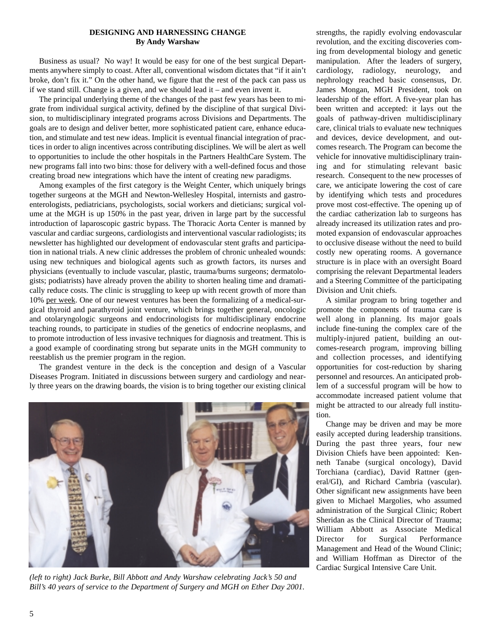### **DESIGNING AND HARNESSING CHANGE By Andy Warshaw**

Business as usual? No way! It would be easy for one of the best surgical Departments anywhere simply to coast. After all, conventional wisdom dictates that "if it ain't broke, don't fix it." On the other hand, we figure that the rest of the pack can pass us if we stand still. Change is a given, and we should lead it – and even invent it.

The principal underlying theme of the changes of the past few years has been to migrate from individual surgical activity, defined by the discipline of that surgical Division, to multidisciplinary integrated programs across Divisions and Departments. The goals are to design and deliver better, more sophisticated patient care, enhance education, and stimulate and test new ideas. Implicit is eventual financial integration of practices in order to align incentives across contributing disciplines. We will be alert as well to opportunities to include the other hospitals in the Partners HealthCare System. The new programs fall into two bins: those for delivery with a well-defined focus and those creating broad new integrations which have the intent of creating new paradigms.

Among examples of the first category is the Weight Center, which uniquely brings together surgeons at the MGH and Newton-Wellesley Hospital, internists and gastroenterologists, pediatricians, psychologists, social workers and dieticians; surgical volume at the MGH is up 150% in the past year, driven in large part by the successful introduction of laparoscopic gastric bypass. The Thoracic Aorta Center is manned by vascular and cardiac surgeons, cardiologists and interventional vascular radiologists; its newsletter has highlighted our development of endovascular stent grafts and participation in national trials. A new clinic addresses the problem of chronic unhealed wounds: using new techniques and biological agents such as growth factors, its nurses and physicians (eventually to include vascular, plastic, trauma/burns surgeons; dermatologists; podiatrists) have already proven the ability to shorten healing time and dramatically reduce costs. The clinic is struggling to keep up with recent growth of more than 10% per week. One of our newest ventures has been the formalizing of a medical-surgical thyroid and parathyroid joint venture, which brings together general, oncologic and otolaryngologic surgeons and endocrinologists for multidisciplinary endocrine teaching rounds, to participate in studies of the genetics of endocrine neoplasms, and to promote introduction of less invasive techniques for diagnosis and treatment. This is a good example of coordinating strong but separate units in the MGH community to reestablish us the premier program in the region.

The grandest venture in the deck is the conception and design of a Vascular Diseases Program. Initiated in discussions between surgery and cardiology and nearly three years on the drawing boards, the vision is to bring together our existing clinical



*(left to right) Jack Burke, Bill Abbott and Andy Warshaw celebrating Jack's 50 and Bill's 40 years of service to the Department of Surgery and MGH on Ether Day 2001.*

strengths, the rapidly evolving endovascular revolution, and the exciting discoveries coming from developmental biology and genetic manipulation. After the leaders of surgery, cardiology, radiology, neurology, and nephrology reached basic consensus, Dr. James Mongan, MGH President, took on leadership of the effort. A five-year plan has been written and accepted: it lays out the goals of pathway-driven multidisciplinary care, clinical trials to evaluate new techniques and devices, device development, and outcomes research. The Program can become the vehicle for innovative multidisciplinary training and for stimulating relevant basic research. Consequent to the new processes of care, we anticipate lowering the cost of care by identifying which tests and procedures prove most cost-effective. The opening up of the cardiac catherization lab to surgeons has already increased its utilization rates and promoted expansion of endovascular approaches to occlusive disease without the need to build costly new operating rooms. A governance structure is in place with an oversight Board comprising the relevant Departmental leaders and a Steering Committee of the participating Division and Unit chiefs.

A similar program to bring together and promote the components of trauma care is well along in planning. Its major goals include fine-tuning the complex care of the multiply-injured patient, building an outcomes-research program, improving billing and collection processes, and identifying opportunities for cost-reduction by sharing personnel and resources. An anticipated problem of a successful program will be how to accommodate increased patient volume that might be attracted to our already full institution.

Change may be driven and may be more easily accepted during leadership transitions. During the past three years, four new Division Chiefs have been appointed: Kenneth Tanabe (surgical oncology), David Torchiana (cardiac), David Rattner (general/GI), and Richard Cambria (vascular). Other significant new assignments have been given to Michael Margolies, who assumed administration of the Surgical Clinic; Robert Sheridan as the Clinical Director of Trauma; William Abbott as Associate Medical Director for Surgical Performance Management and Head of the Wound Clinic; and William Hoffman as Director of the Cardiac Surgical Intensive Care Unit.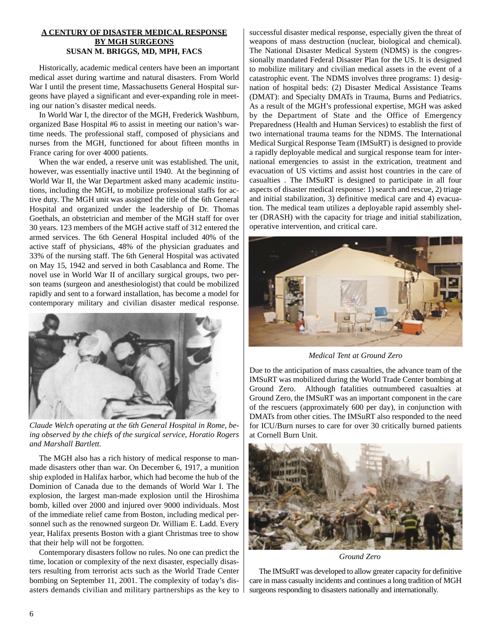## **A CENTURY OF DISASTER MEDICAL RESPONSE BY MGH SURGEONS SUSAN M. BRIGGS, MD, MPH, FACS**

Historically, academic medical centers have been an important medical asset during wartime and natural disasters. From World War I until the present time, Massachusetts General Hospital surgeons have played a significant and ever-expanding role in meeting our nation's disaster medical needs.

In World War I, the director of the MGH, Frederick Washburn, organized Base Hospital #6 to assist in meeting our nation's wartime needs. The professional staff, composed of physicians and nurses from the MGH, functioned for about fifteen months in France caring for over 4000 patients.

When the war ended, a reserve unit was established. The unit, however, was essentially inactive until 1940. At the beginning of World War II, the War Department asked many academic institutions, including the MGH, to mobilize professional staffs for active duty. The MGH unit was assigned the title of the 6th General Hospital and organized under the leadership of Dr. Thomas Goethals, an obstetrician and member of the MGH staff for over 30 years. 123 members of the MGH active staff of 312 entered the armed services. The 6th General Hospital included 40% of the active staff of physicians, 48% of the physician graduates and 33% of the nursing staff. The 6th General Hospital was activated on May 15, 1942 and served in both Casablanca and Rome. The novel use in World War II of ancillary surgical groups, two person teams (surgeon and anesthesiologist) that could be mobilized rapidly and sent to a forward installation, has become a model for contemporary military and civilian disaster medical response.



*Claude Welch operating at the 6th General Hospital in Rome, being observed by the chiefs of the surgical service, Horatio Rogers and Marshall Bartlett.*

The MGH also has a rich history of medical response to manmade disasters other than war. On December 6, 1917, a munition ship exploded in Halifax harbor, which had become the hub of the Dominion of Canada due to the demands of World War I. The explosion, the largest man-made explosion until the Hiroshima bomb, killed over 2000 and injured over 9000 individuals. Most of the immediate relief came from Boston, including medical personnel such as the renowned surgeon Dr. William E. Ladd. Every year, Halifax presents Boston with a giant Christmas tree to show that their help will not be forgotten.

Contemporary disasters follow no rules. No one can predict the time, location or complexity of the next disaster, especially disasters resulting from terrorist acts such as the World Trade Center bombing on September 11, 2001. The complexity of today's disasters demands civilian and military partnerships as the key to successful disaster medical response, especially given the threat of weapons of mass destruction (nuclear, biological and chemical). The National Disaster Medical System (NDMS) is the congressionally mandated Federal Disaster Plan for the US. It is designed to mobilize military and civilian medical assets in the event of a catastrophic event. The NDMS involves three programs: 1) designation of hospital beds: (2) Disaster Medical Assistance Teams (DMAT): and Specialty DMATs in Trauma, Burns and Pediatrics. As a result of the MGH's professional expertise, MGH was asked by the Department of State and the Office of Emergency Preparedness (Health and Human Services) to establish the first of two international trauma teams for the NDMS. The International Medical Surgical Response Team (IMSuRT) is designed to provide a rapidly deployable medical and surgical response team for international emergencies to assist in the extrication, treatment and evacuation of US victims and assist host countries in the care of casualties . The IMSuRT is designed to participate in all four aspects of disaster medical response: 1) search and rescue, 2) triage and initial stabilization, 3) definitive medical care and 4) evacuation. The medical team utilizes a deployable rapid assembly shelter (DRASH) with the capacity for triage and initial stabilization, operative intervention, and critical care.



*Medical Tent at Ground Zero*

Due to the anticipation of mass casualties, the advance team of the IMSuRT was mobilized during the World Trade Center bombing at Ground Zero. Although fatalities outnumbered casualties at Ground Zero, the IMSuRT was an important component in the care of the rescuers (approximately 600 per day), in conjunction with DMATs from other cities. The IMSuRT also responded to the need for ICU/Burn nurses to care for over 30 critically burned patients at Cornell Burn Unit.



*Ground Zero*

The IMSuRT was developed to allow greater capacity for definitive care in mass casualty incidents and continues a long tradition of MGH surgeons responding to disasters nationally and internationally.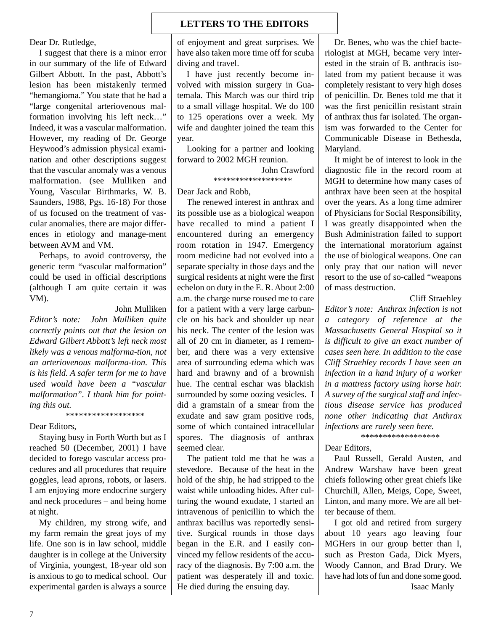Dear Dr. Rutledge,

I suggest that there is a minor error in our summary of the life of Edward Gilbert Abbott. In the past, Abbott's lesion has been mistakenly termed "hemangioma." You state that he had a "large congenital arteriovenous malformation involving his left neck…" Indeed, it was a vascular malformation. However, my reading of Dr. George Heywood's admission physical examination and other descriptions suggest that the vascular anomaly was a venous malformation. (see Mulliken and Young, Vascular Birthmarks, W. B. Saunders, 1988, Pgs. 16-18) For those of us focused on the treatment of vascular anomalies, there are major differences in etiology and manage-ment between AVM and VM.

Perhaps, to avoid controversy, the generic term "vascular malformation" could be used in official descriptions (although I am quite certain it was VM).

# John Mulliken

*Editor's note: John Mulliken quite correctly points out that the lesion on Edward Gilbert Abbott's left neck most likely was a venous malforma-tion, not an arteriovenous malforma-tion. This is his field. A safer term for me to have used would have been a "vascular malformation". I thank him for pointing this out.*

\*\*\*\*\*\*\*\*\*\*\*\*\*\*\*\*\*\*

Dear Editors,

Staying busy in Forth Worth but as I reached 50 (December, 2001) I have decided to forego vascular access procedures and all procedures that require goggles, lead aprons, robots, or lasers. I am enjoying more endocrine surgery and neck procedures – and being home at night.

My children, my strong wife, and my farm remain the great joys of my life. One son is in law school, middle daughter is in college at the University of Virginia, youngest, 18-year old son is anxious to go to medical school. Our experimental garden is always a source

# **LETTERS TO THE EDITORS**

of enjoyment and great surprises. We have also taken more time off for scuba diving and travel.

I have just recently become involved with mission surgery in Guatemala. This March was our third trip to a small village hospital. We do 100 to 125 operations over a week. My wife and daughter joined the team this year.

Looking for a partner and looking forward to 2002 MGH reunion.

John Crawford

\*\*\*\*\*\*\*\*\*\*\*\*\*\*\*\*\*\*

Dear Jack and Robb,

The renewed interest in anthrax and its possible use as a biological weapon have recalled to mind a patient I encountered during an emergency room rotation in 1947. Emergency room medicine had not evolved into a separate specialty in those days and the surgical residents at night were the first echelon on duty in the E. R. About 2:00 a.m. the charge nurse roused me to care for a patient with a very large carbuncle on his back and shoulder up near his neck. The center of the lesion was all of 20 cm in diameter, as I remember, and there was a very extensive area of surrounding edema which was hard and brawny and of a brownish hue. The central eschar was blackish surrounded by some oozing vesicles. I did a gramstain of a smear from the exudate and saw gram positive rods, some of which contained intracellular spores. The diagnosis of anthrax seemed clear.

The patient told me that he was a stevedore. Because of the heat in the hold of the ship, he had stripped to the waist while unloading hides. After culturing the wound exudate, I started an intravenous of penicillin to which the anthrax bacillus was reportedly sensitive. Surgical rounds in those days began in the E.R. and I easily convinced my fellow residents of the accuracy of the diagnosis. By 7:00 a.m. the patient was desperately ill and toxic. He died during the ensuing day.

Dr. Benes, who was the chief bacteriologist at MGH, became very interested in the strain of B. anthracis isolated from my patient because it was completely resistant to very high doses of penicillin. Dr. Benes told me that it was the first penicillin resistant strain of anthrax thus far isolated. The organism was forwarded to the Center for Communicable Disease in Bethesda, Maryland.

It might be of interest to look in the diagnostic file in the record room at MGH to determine how many cases of anthrax have been seen at the hospital over the years. As a long time admirer of Physicians for Social Responsibility, I was greatly disappointed when the Bush Administration failed to support the international moratorium against the use of biological weapons. One can only pray that our nation will never resort to the use of so-called "weapons of mass destruction.

Cliff Straehley

*Editor's note: Anthrax infection is not a category of reference at the Massachusetts General Hospital so it is difficult to give an exact number of cases seen here. In addition to the case Cliff Straehley records I have seen an infection in a hand injury of a worker in a mattress factory using horse hair. A survey of the surgical staff and infectious disease service has produced none other indicating that Anthrax infections are rarely seen here.* \*\*\*\*\*\*\*\*\*\*\*\*\*\*\*\*\*\*

Dear Editors,

Paul Russell, Gerald Austen, and Andrew Warshaw have been great chiefs following other great chiefs like Churchill, Allen, Meigs, Cope, Sweet, Linton, and many more. We are all better because of them.

I got old and retired from surgery about 10 years ago leaving four MGHers in our group better than I, such as Preston Gada, Dick Myers, Woody Cannon, and Brad Drury. We have had lots of fun and done some good. Isaac Manly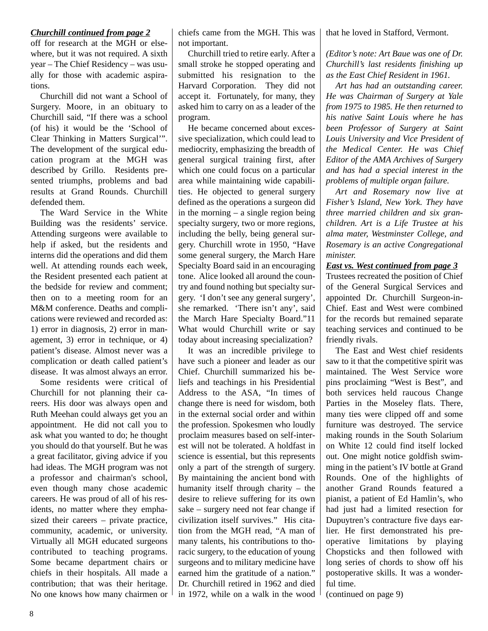# *Churchill continued from page 2*

off for research at the MGH or elsewhere, but it was not required. A sixth year – The Chief Residency – was usually for those with academic aspirations.

Churchill did not want a School of Surgery. Moore, in an obituary to Churchill said, "If there was a school (of his) it would be the 'School of Clear Thinking in Matters Surgical'". The development of the surgical education program at the MGH was described by Grillo. Residents presented triumphs, problems and bad results at Grand Rounds. Churchill defended them.

The Ward Service in the White Building was the residents' service. Attending surgeons were available to help if asked, but the residents and interns did the operations and did them well. At attending rounds each week, the Resident presented each patient at the bedside for review and comment; then on to a meeting room for an M&M conference. Deaths and complications were reviewed and recorded as: 1) error in diagnosis, 2) error in management, 3) error in technique, or 4) patient's disease. Almost never was a complication or death called patient's disease. It was almost always an error.

Some residents were critical of Churchill for not planning their careers. His door was always open and Ruth Meehan could always get you an appointment. He did not call you to ask what you wanted to do; he thought you should do that yourself. But he was a great facilitator, giving advice if you had ideas. The MGH program was not a professor and chairman's school, even though many chose academic careers. He was proud of all of his residents, no matter where they emphasized their careers – private practice, community, academic, or university. Virtually all MGH educated surgeons contributed to teaching programs. Some became department chairs or chiefs in their hospitals. All made a contribution; that was their heritage. No one knows how many chairmen or chiefs came from the MGH. This was not important.

Churchill tried to retire early. After a small stroke he stopped operating and submitted his resignation to the Harvard Corporation. They did not accept it. Fortunately, for many, they asked him to carry on as a leader of the program.

He became concerned about excessive specialization, which could lead to mediocrity, emphasizing the breadth of general surgical training first, after which one could focus on a particular area while maintaining wide capabilities. He objected to general surgery defined as the operations a surgeon did in the morning – a single region being specialty surgery, two or more regions, including the belly, being general surgery. Churchill wrote in 1950, "Have some general surgery, the March Hare Specialty Board said in an encouraging tone. Alice looked all around the country and found nothing but specialty surgery. 'I don't see any general surgery', she remarked. 'There isn't any', said the March Hare Specialty Board."11 What would Churchill write or say today about increasing specialization?

It was an incredible privilege to have such a pioneer and leader as our Chief. Churchill summarized his beliefs and teachings in his Presidential Address to the ASA, "In times of change there is need for wisdom, both in the external social order and within the profession. Spokesmen who loudly proclaim measures based on self-interest will not be tolerated. A holdfast in science is essential, but this represents only a part of the strength of surgery. By maintaining the ancient bond with humanity itself through charity – the desire to relieve suffering for its own sake – surgery need not fear change if civilization itself survives." His citation from the MGH read, "A man of many talents, his contributions to thoracic surgery, to the education of young surgeons and to military medicine have earned him the gratitude of a nation." Dr. Churchill retired in 1962 and died in 1972, while on a walk in the wood that he loved in Stafford, Vermont.

*(Editor's note: Art Baue was one of Dr. Churchill's last residents finishing up as the East Chief Resident in 1961.*

*Art has had an outstanding career. He was Chairman of Surgery at Yale from 1975 to 1985. He then returned to his native Saint Louis where he has been Professor of Surgery at Saint Louis University and Vice President of the Medical Center. He was Chief Editor of the AMA Archives of Surgery and has had a special interest in the problems of multiple organ failure.*

*Art and Rosemary now live at Fisher's Island, New York. They have three married children and six granchildren. Art is a Life Trustee at his alma mater, Westminster College, and Rosemary is an active Congregational minister.*

# *East vs. West continued from page 3*

Trustees recreated the position of Chief of the General Surgical Services and appointed Dr. Churchill Surgeon-in-Chief. East and West were combined for the records but remained separate teaching services and continued to be friendly rivals.

The East and West chief residents saw to it that the competitive spirit was maintained. The West Service wore pins proclaiming "West is Best", and both services held raucous Change Parties in the Moseley flats. There, many ties were clipped off and some furniture was destroyed. The service making rounds in the South Solarium on White 12 could find itself locked out. One might notice goldfish swimming in the patient's IV bottle at Grand Rounds. One of the highlights of another Grand Rounds featured a pianist, a patient of Ed Hamlin's, who had just had a limited resection for Dupuytren's contracture five days earlier. He first demonstrated his preoperative limitations by playing Chopsticks and then followed with long series of chords to show off his postoperative skills. It was a wonderful time.

(continued on page 9)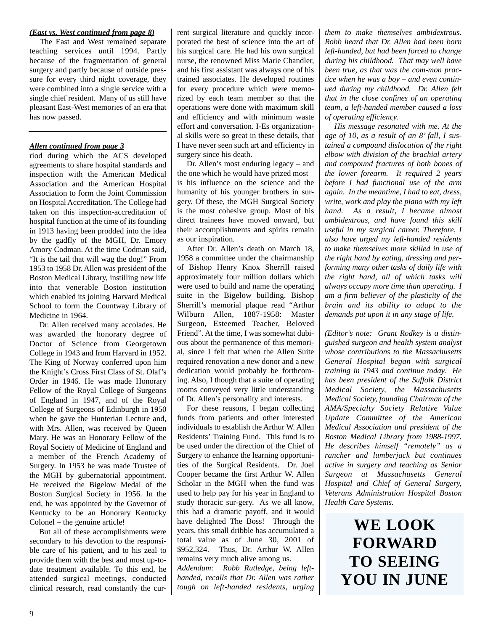## *(East vs. West continued from page 8)*

The East and West remained separate teaching services until 1994. Partly because of the fragmentation of general surgery and partly because of outside pressure for every third night coverage, they were combined into a single service with a single chief resident. Many of us still have pleasant East-West memories of an era that has now passed.

# *Allen continued from page 3*

riod during which the ACS developed agreements to share hospital standards and inspection with the American Medical Association and the American Hospital Association to form the Joint Commission on Hospital Accreditation. The College had taken on this inspection-accreditation of hospital function at the time of its founding in 1913 having been prodded into the idea by the gadfly of the MGH, Dr. Emory Amory Codman. At the time Codman said, "It is the tail that will wag the dog!" From 1953 to 1958 Dr. Allen was president of the Boston Medical Library, instilling new life into that venerable Boston institution which enabled its joining Harvard Medical School to form the Countway Library of Medicine in 1964.

Dr. Allen received many accolades. He was awarded the honorary degree of Doctor of Science from Georgetown College in 1943 and from Harvard in 1952. The King of Norway conferred upon him the Knight's Cross First Class of St. Olaf's Order in 1946. He was made Honorary Fellow of the Royal College of Surgeons of England in 1947, and of the Royal College of Surgeons of Edinburgh in 1950 when he gave the Hunterian Lecture and, with Mrs. Allen, was received by Queen Mary. He was an Honorary Fellow of the Royal Society of Medicine of England and a member of the French Academy of Surgery. In 1953 he was made Trustee of the MGH by gubernatorial appointment. He received the Bigelow Medal of the Boston Surgical Society in 1956. In the end, he was appointed by the Governor of Kentucky to be an Honorary Kentucky Colonel – the genuine article!

But all of these accomplishments were secondary to his devotion to the responsible care of his patient, and to his zeal to provide them with the best and most up-todate treatment available. To this end, he attended surgical meetings, conducted clinical research, read constantly the current surgical literature and quickly incorporated the best of science into the art of his surgical care. He had his own surgical nurse, the renowned Miss Marie Chandler, and his first assistant was always one of his trained associates. He developed routines for every procedure which were memorized by each team member so that the operations were done with maximum skill and efficiency and with minimum waste effort and conversation. I-Es organizational skills were so great in these details, that I have never seen such art and efficiency in surgery since his death.

Dr. Allen's most enduring legacy – and the one which he would have prized most – is his influence on the science and the humanity of his younger brothers in surgery. Of these, the MGH Surgical Society is the most cohesive group. Most of his direct trainees have moved onward, but their accomplishments and spirits remain as our inspiration.

After Dr. Allen's death on March 18, 1958 a committee under the chairmanship of Bishop Henry Knox Sherrill raised approximately four million dollars which were used to build and name the operating suite in the Bigelow building. Bishop Sherrill's memorial plaque read "Arthur Wilburn Allen, 1887-1958: Master Surgeon, Esteemed Teacher, Beloved Friend". At the time, I was somewhat dubious about the permanence of this memorial, since I felt that when the Allen Suite required renovation a new donor and a new dedication would probably be forthcoming. Also, I though that a suite of operating rooms conveyed very little understanding of Dr. Allen's personality and interests.

For these reasons, I began collecting funds from patients and other interested individuals to establish the Arthur W. Allen Residents' Training Fund. This fund is to be used under the direction of the Chief of Surgery to enhance the learning opportunities of the Surgical Residents. Dr. Joel Cooper became the first Arthur W. Allen Scholar in the MGH when the fund was used to help pay for his year in England to study thoracic sur-gery. As we all know, this had a dramatic payoff, and it would have delighted The Boss! Through the years, this small dribble has accumulated a total value as of June 30, 2001 of \$952,324. Thus, Dr. Arthur W. Allen remains very much alive among us.

*Addendum: Robb Rutledge, being lefthanded, recalls that Dr. Allen was rather tough on left-handed residents, urging* *them to make themselves ambidextrous. Robb heard that Dr. Allen had been born left-handed, but had been forced to change during his childhood. That may well have been true, as that was the com-mon practice when he was a boy – and even continued during my childhood. Dr. Allen felt that in the close confines of an operating team, a left-handed member caused a loss of operating efficiency.*

*His message resonated with me. At the age of 10, as a result of an 8' fall, I sustained a compound dislocation of the right elbow with division of the brachial artery and compound fractures of both bones of the lower forearm. It required 2 years before I had functional use of the arm again. In the meantime, I had to eat, dress, write, work and play the piano with my left hand. As a result, I became almost ambidextrous, and have found this skill useful in my surgical career. Therefore, I also have urged my left-handed residents to make themselves more skilled in use of the right hand by eating, dressing and performing many other tasks of daily life with the right hand, all of which tasks will always occupy more time than operating. I am a firm believer of the plasticity of the brain and its ability to adapt to the demands put upon it in any stage of life.*

*(Editor's note: Grant Rodkey is a distinguished surgeon and health system analyst whose contributions to the Massachusetts General Hospital began with surgical training in 1943 and continue today. He has been president of the Suffolk District Medical Society, the Massachusetts Medical Society, founding Chairman of the AMA/Specialty Society Relative Value Update Committee of the American Medical Association and president of the Boston Medical Library from 1988-1997. He describes himself "remotely" as a rancher and lumberjack but continues active in surgery and teaching as Senior Surgeon at Massachusetts General Hospital and Chief of General Surgery, Veterans Administration Hospital Boston Health Care Systems.*

> **WE LOOK FORWARD TO SEEING YOU IN JUNE**